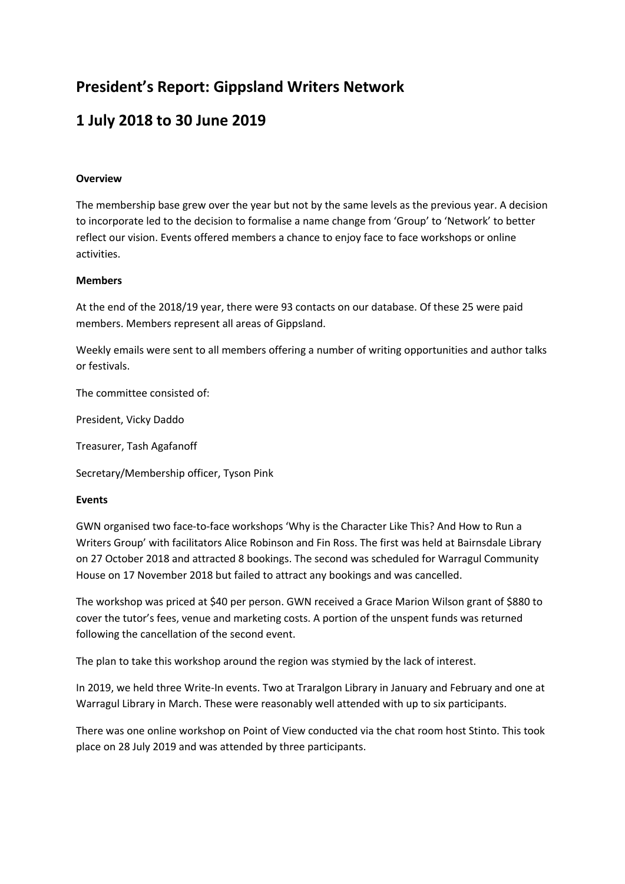# **President's Report: Gippsland Writers Network**

# **1 July 2018 to 30 June 2019**

### **Overview**

The membership base grew over the year but not by the same levels as the previous year. A decision to incorporate led to the decision to formalise a name change from 'Group' to 'Network' to better reflect our vision. Events offered members a chance to enjoy face to face workshops or online activities.

#### **Members**

At the end of the 2018/19 year, there were 93 contacts on our database. Of these 25 were paid members. Members represent all areas of Gippsland.

Weekly emails were sent to all members offering a number of writing opportunities and author talks or festivals.

The committee consisted of:

President, Vicky Daddo

Treasurer, Tash Agafanoff

Secretary/Membership officer, Tyson Pink

#### **Events**

GWN organised two face-to-face workshops 'Why is the Character Like This? And How to Run a Writers Group' with facilitators Alice Robinson and Fin Ross. The first was held at Bairnsdale Library on 27 October 2018 and attracted 8 bookings. The second was scheduled for Warragul Community House on 17 November 2018 but failed to attract any bookings and was cancelled.

The workshop was priced at \$40 per person. GWN received a Grace Marion Wilson grant of \$880 to cover the tutor's fees, venue and marketing costs. A portion of the unspent funds was returned following the cancellation of the second event.

The plan to take this workshop around the region was stymied by the lack of interest.

In 2019, we held three Write-In events. Two at Traralgon Library in January and February and one at Warragul Library in March. These were reasonably well attended with up to six participants.

There was one online workshop on Point of View conducted via the chat room host Stinto. This took place on 28 July 2019 and was attended by three participants.